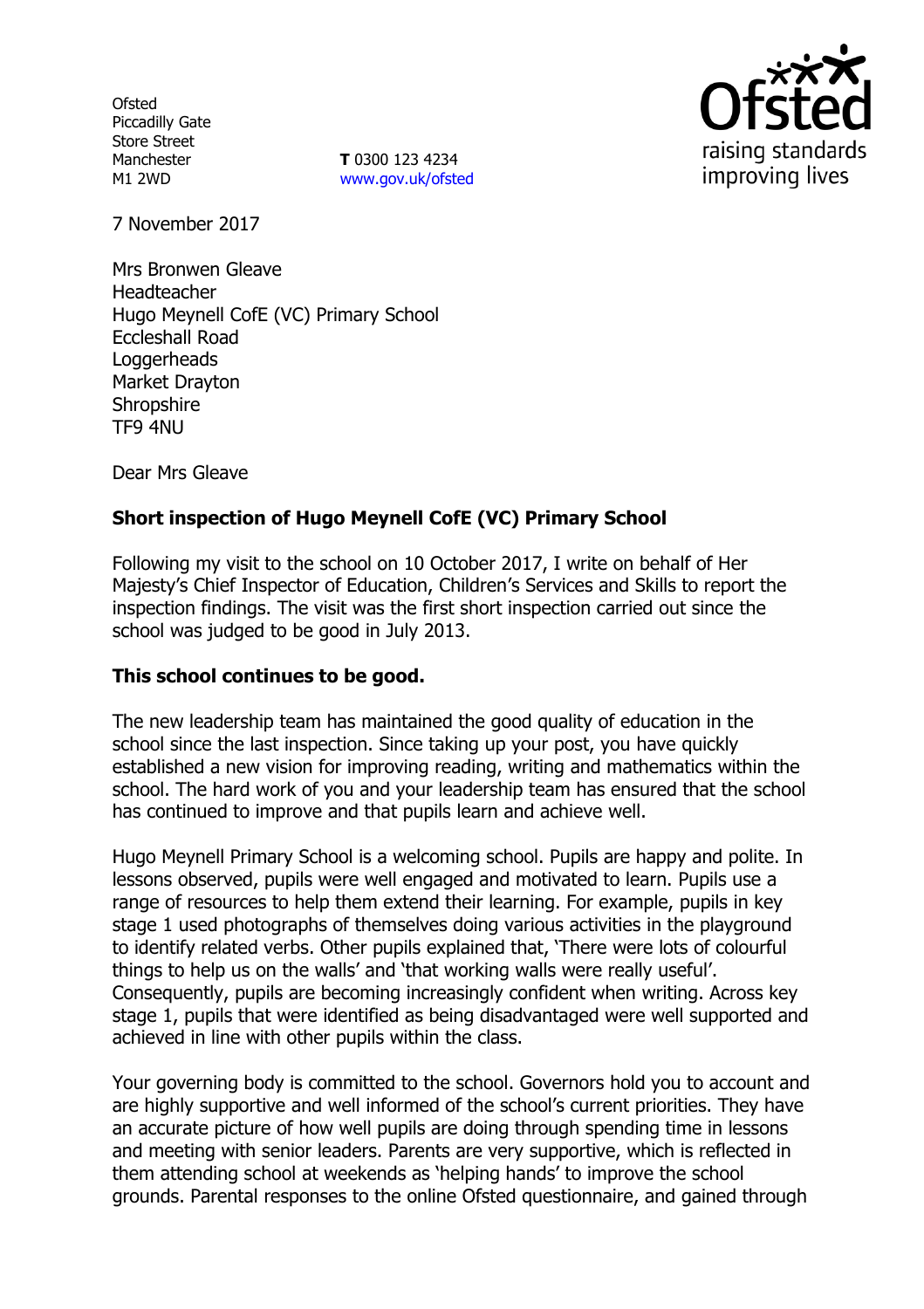**Ofsted** Piccadilly Gate Store Street Manchester M1 2WD

**T** 0300 123 4234 www.gov.uk/ofsted



7 November 2017

Mrs Bronwen Gleave Headteacher Hugo Meynell CofE (VC) Primary School Eccleshall Road **Loggerheads** Market Drayton **Shropshire** TF9 4NU

Dear Mrs Gleave

# **Short inspection of Hugo Meynell CofE (VC) Primary School**

Following my visit to the school on 10 October 2017, I write on behalf of Her Majesty's Chief Inspector of Education, Children's Services and Skills to report the inspection findings. The visit was the first short inspection carried out since the school was judged to be good in July 2013.

### **This school continues to be good.**

The new leadership team has maintained the good quality of education in the school since the last inspection. Since taking up your post, you have quickly established a new vision for improving reading, writing and mathematics within the school. The hard work of you and your leadership team has ensured that the school has continued to improve and that pupils learn and achieve well.

Hugo Meynell Primary School is a welcoming school. Pupils are happy and polite. In lessons observed, pupils were well engaged and motivated to learn. Pupils use a range of resources to help them extend their learning. For example, pupils in key stage 1 used photographs of themselves doing various activities in the playground to identify related verbs. Other pupils explained that, 'There were lots of colourful things to help us on the walls' and 'that working walls were really useful'. Consequently, pupils are becoming increasingly confident when writing. Across key stage 1, pupils that were identified as being disadvantaged were well supported and achieved in line with other pupils within the class.

Your governing body is committed to the school. Governors hold you to account and are highly supportive and well informed of the school's current priorities. They have an accurate picture of how well pupils are doing through spending time in lessons and meeting with senior leaders. Parents are very supportive, which is reflected in them attending school at weekends as 'helping hands' to improve the school grounds. Parental responses to the online Ofsted questionnaire, and gained through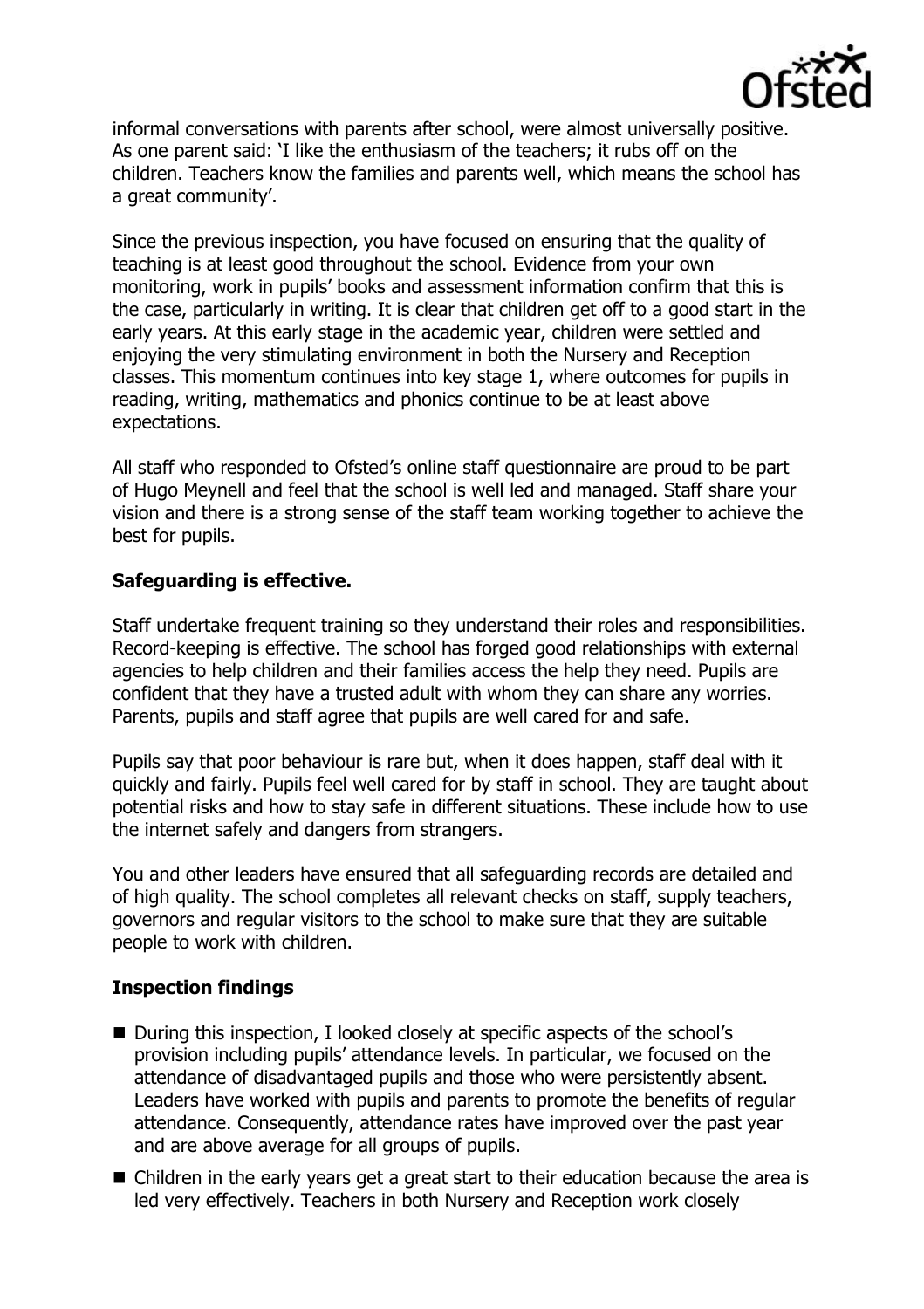

informal conversations with parents after school, were almost universally positive. As one parent said: 'I like the enthusiasm of the teachers; it rubs off on the children. Teachers know the families and parents well, which means the school has a great community'.

Since the previous inspection, you have focused on ensuring that the quality of teaching is at least good throughout the school. Evidence from your own monitoring, work in pupils' books and assessment information confirm that this is the case, particularly in writing. It is clear that children get off to a good start in the early years. At this early stage in the academic year, children were settled and enjoying the very stimulating environment in both the Nursery and Reception classes. This momentum continues into key stage 1, where outcomes for pupils in reading, writing, mathematics and phonics continue to be at least above expectations.

All staff who responded to Ofsted's online staff questionnaire are proud to be part of Hugo Meynell and feel that the school is well led and managed. Staff share your vision and there is a strong sense of the staff team working together to achieve the best for pupils.

# **Safeguarding is effective.**

Staff undertake frequent training so they understand their roles and responsibilities. Record-keeping is effective. The school has forged good relationships with external agencies to help children and their families access the help they need. Pupils are confident that they have a trusted adult with whom they can share any worries. Parents, pupils and staff agree that pupils are well cared for and safe.

Pupils say that poor behaviour is rare but, when it does happen, staff deal with it quickly and fairly. Pupils feel well cared for by staff in school. They are taught about potential risks and how to stay safe in different situations. These include how to use the internet safely and dangers from strangers.

You and other leaders have ensured that all safeguarding records are detailed and of high quality. The school completes all relevant checks on staff, supply teachers, governors and regular visitors to the school to make sure that they are suitable people to work with children.

### **Inspection findings**

- During this inspection, I looked closely at specific aspects of the school's provision including pupils' attendance levels. In particular, we focused on the attendance of disadvantaged pupils and those who were persistently absent. Leaders have worked with pupils and parents to promote the benefits of regular attendance. Consequently, attendance rates have improved over the past year and are above average for all groups of pupils.
- Children in the early years get a great start to their education because the area is led very effectively. Teachers in both Nursery and Reception work closely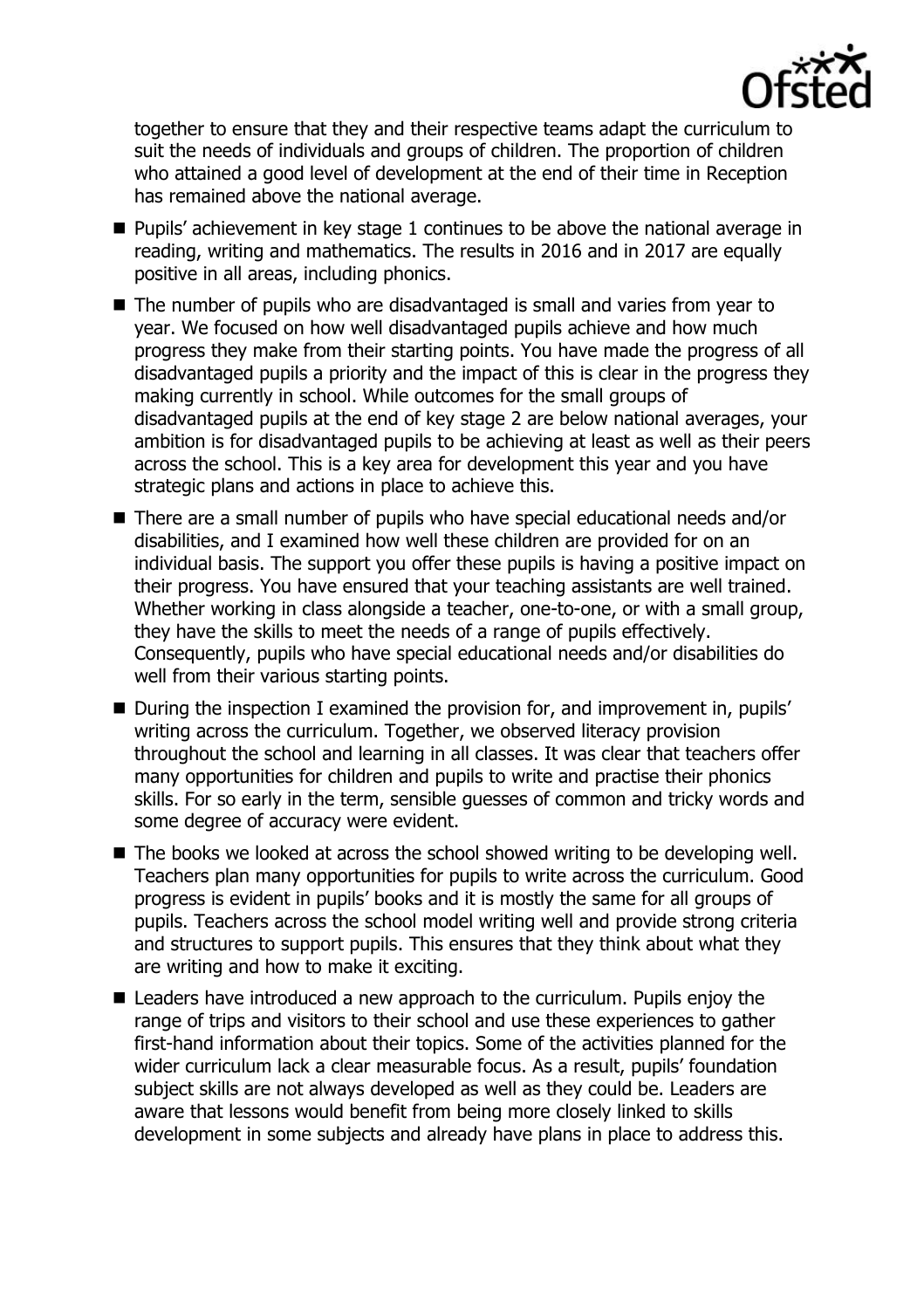

together to ensure that they and their respective teams adapt the curriculum to suit the needs of individuals and groups of children. The proportion of children who attained a good level of development at the end of their time in Reception has remained above the national average.

- **Pupils'** achievement in key stage 1 continues to be above the national average in reading, writing and mathematics. The results in 2016 and in 2017 are equally positive in all areas, including phonics.
- The number of pupils who are disadvantaged is small and varies from year to year. We focused on how well disadvantaged pupils achieve and how much progress they make from their starting points. You have made the progress of all disadvantaged pupils a priority and the impact of this is clear in the progress they making currently in school. While outcomes for the small groups of disadvantaged pupils at the end of key stage 2 are below national averages, your ambition is for disadvantaged pupils to be achieving at least as well as their peers across the school. This is a key area for development this year and you have strategic plans and actions in place to achieve this.
- There are a small number of pupils who have special educational needs and/or disabilities, and I examined how well these children are provided for on an individual basis. The support you offer these pupils is having a positive impact on their progress. You have ensured that your teaching assistants are well trained. Whether working in class alongside a teacher, one-to-one, or with a small group, they have the skills to meet the needs of a range of pupils effectively. Consequently, pupils who have special educational needs and/or disabilities do well from their various starting points.
- During the inspection I examined the provision for, and improvement in, pupils' writing across the curriculum. Together, we observed literacy provision throughout the school and learning in all classes. It was clear that teachers offer many opportunities for children and pupils to write and practise their phonics skills. For so early in the term, sensible guesses of common and tricky words and some degree of accuracy were evident.
- The books we looked at across the school showed writing to be developing well. Teachers plan many opportunities for pupils to write across the curriculum. Good progress is evident in pupils' books and it is mostly the same for all groups of pupils. Teachers across the school model writing well and provide strong criteria and structures to support pupils. This ensures that they think about what they are writing and how to make it exciting.
- Leaders have introduced a new approach to the curriculum. Pupils enjoy the range of trips and visitors to their school and use these experiences to gather first-hand information about their topics. Some of the activities planned for the wider curriculum lack a clear measurable focus. As a result, pupils' foundation subject skills are not always developed as well as they could be. Leaders are aware that lessons would benefit from being more closely linked to skills development in some subjects and already have plans in place to address this.